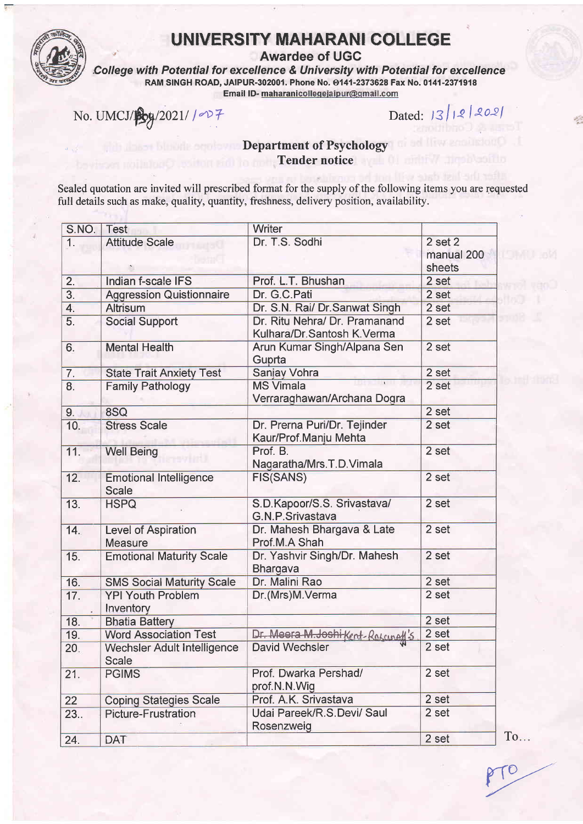

# UNIVERSITY MAHARANI COLLEGE<br>Awardee of UGC

College with Potential for excellence & University with Potential for excellence RAM SINGH ROAD, JAIPUR-302001. Phone No. 0141-2373628 Fax No. 0141-2371918<br>Email ID- maharanicollegejaipur@gmail.com

 $\frac{1}{2}$ No. UMCJ/ $\frac{1}{2}$ g/2021// $\frac{1}{2}$ 

### Department of Psychology Tender notice

Sealed quotation are invited will prescribed format for the supply of the following items you are requested full details such as make, quality, quantity, freshness, delivery position, availability.

| S.NO.            | <b>Test</b>                                   | <b>Writer</b>                                               |                                     |
|------------------|-----------------------------------------------|-------------------------------------------------------------|-------------------------------------|
| 1.               | <b>Attitude Scale</b>                         | Dr. T.S. Sodhi                                              | $2$ set $2$<br>manual 200<br>sheets |
| $\overline{2}$ . | Indian f-scale IFS                            | Prof. L.T. Bhushan                                          | 2 set                               |
| $\overline{3}$ . | <b>Aggression Quistionnaire</b>               | Dr. G.C.Pati                                                | 2 set                               |
| $\overline{4}$ . | <b>Altrisum</b>                               | Dr. S.N. Rai/ Dr. Sanwat Singh                              | 2 set                               |
| 5.               | <b>Social Support</b>                         | Dr. Ritu Nehra/ Dr. Pramanand<br>Kulhara/Dr.Santosh K.Verma | 2 set                               |
| 6.               | <b>Mental Health</b>                          | Arun Kumar Singh/Alpana Sen<br>Guprta                       | 2 set                               |
| 7.               | <b>State Trait Anxiety Test</b>               | Sanjay Vohra                                                | 2 set                               |
| 8.               | <b>Family Pathology</b>                       | <b>MS Vimala</b><br>Verraraghawan/Archana Dogra             | 2 set                               |
| 9.               | 8SQ                                           |                                                             | 2 set                               |
| 10.              | <b>Stress Scale</b>                           | Dr. Prerna Puri/Dr. Tejinder<br>Kaur/Prof.Manju Mehta       | 2 set                               |
| 11.              | <b>Well Being</b>                             | Prof. B.<br>Nagaratha/Mrs.T.D.Vimala                        | 2 set                               |
| 12.              | <b>Emotional Intelligence</b><br><b>Scale</b> | <b>FIS(SANS)</b>                                            | 2 set                               |
| 13.              | <b>HSPQ</b>                                   | S.D.Kapoor/S.S. Srivastava/<br><b>G.N.P.Srivastava</b>      | 2 set                               |
| 14.              | <b>Level of Aspiration</b><br><b>Measure</b>  | Dr. Mahesh Bhargava & Late<br>Prof.M.A Shah                 | 2 set                               |
| 15.              | <b>Emotional Maturity Scale</b>               | Dr. Yashvir Singh/Dr. Mahesh<br>Bhargava                    | 2 set                               |
| 16.              | <b>SMS Social Maturity Scale</b>              | Dr. Malini Rao                                              | 2 set                               |
| 17.              | <b>YPI Youth Problem</b><br>Inventory         | Dr.(Mrs)M.Verma                                             | 2 set                               |
| 18.              | <b>Bhatia Battery</b>                         |                                                             | 2 set                               |
| 19.              | <b>Word Association Test</b>                  | Dr. Meera M. Joshi Kent-Roscune# 5                          | 2 set                               |
| 20.              | <b>Wechsler Adult Intelligence</b><br>Scale   | <b>David Wechsler</b>                                       | 2 set                               |
| 21.              | <b>PGIMS</b>                                  | Prof. Dwarka Pershad/<br>prof.N.N.Wig                       | 2 set                               |
| 22               | <b>Coping Stategies Scale</b>                 | Prof. A.K. Srivastava                                       | 2 set                               |
| 23.              | <b>Picture-Frustration</b>                    | Udai Pareek/R.S.Devi/ Saul<br>Rosenzweig                    | 2 set                               |
| 24.              | <b>DAT</b>                                    |                                                             | Tc<br>2 set                         |
|                  |                                               |                                                             |                                     |

 $PTO$